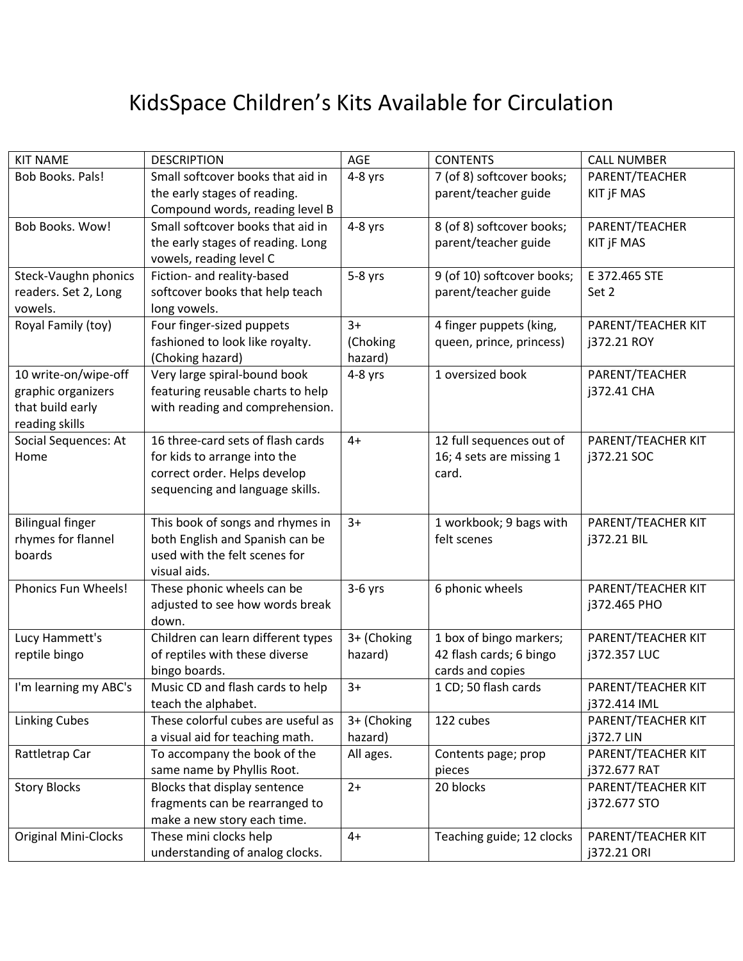## KidsSpace Children's Kits Available for Circulation

| <b>KIT NAME</b>             | <b>DESCRIPTION</b>                       | AGE         | <b>CONTENTS</b>            | <b>CALL NUMBER</b> |
|-----------------------------|------------------------------------------|-------------|----------------------------|--------------------|
| Bob Books. Pals!            | Small softcover books that aid in        | 4-8 yrs     | 7 (of 8) softcover books;  | PARENT/TEACHER     |
|                             | the early stages of reading.             |             | parent/teacher guide       | KIT jF MAS         |
|                             | Compound words, reading level B          |             |                            |                    |
| <b>Bob Books. Wow!</b>      | Small softcover books that aid in        | 4-8 yrs     | 8 (of 8) softcover books;  | PARENT/TEACHER     |
|                             | the early stages of reading. Long        |             | parent/teacher guide       | <b>KIT JF MAS</b>  |
|                             | vowels, reading level C                  |             |                            |                    |
| Steck-Vaughn phonics        | Fiction- and reality-based               | $5-8$ yrs   | 9 (of 10) softcover books; | E 372.465 STE      |
| readers. Set 2, Long        | softcover books that help teach          |             | parent/teacher guide       | Set 2              |
| vowels.                     | long vowels.                             |             |                            |                    |
| Royal Family (toy)          | Four finger-sized puppets                | $3+$        | 4 finger puppets (king,    | PARENT/TEACHER KIT |
|                             | fashioned to look like royalty.          | (Choking    | queen, prince, princess)   | j372.21 ROY        |
|                             | (Choking hazard)                         | hazard)     |                            |                    |
| 10 write-on/wipe-off        | Very large spiral-bound book             | 4-8 yrs     | 1 oversized book           | PARENT/TEACHER     |
| graphic organizers          | featuring reusable charts to help        |             |                            | j372.41 CHA        |
| that build early            | with reading and comprehension.          |             |                            |                    |
| reading skills              |                                          |             |                            |                    |
| Social Sequences: At        | 16 three-card sets of flash cards        | $4+$        | 12 full sequences out of   | PARENT/TEACHER KIT |
| Home                        | for kids to arrange into the             |             | 16; 4 sets are missing 1   | j372.21 SOC        |
|                             | correct order. Helps develop             |             | card.                      |                    |
|                             | sequencing and language skills.          |             |                            |                    |
|                             |                                          |             |                            |                    |
| <b>Bilingual finger</b>     | This book of songs and rhymes in         | $3+$        | 1 workbook; 9 bags with    | PARENT/TEACHER KIT |
| rhymes for flannel          | both English and Spanish can be          |             | felt scenes                | j372.21 BIL        |
| boards                      | used with the felt scenes for            |             |                            |                    |
| Phonics Fun Wheels!         | visual aids.                             |             |                            |                    |
|                             | These phonic wheels can be               | $3-6$ yrs   | 6 phonic wheels            | PARENT/TEACHER KIT |
|                             | adjusted to see how words break<br>down. |             |                            | j372.465 PHO       |
| Lucy Hammett's              | Children can learn different types       | 3+ (Choking | 1 box of bingo markers;    | PARENT/TEACHER KIT |
| reptile bingo               | of reptiles with these diverse           | hazard)     | 42 flash cards; 6 bingo    | j372.357 LUC       |
|                             | bingo boards.                            |             | cards and copies           |                    |
| I'm learning my ABC's       | Music CD and flash cards to help         | $3+$        | 1 CD; 50 flash cards       | PARENT/TEACHER KIT |
|                             | teach the alphabet.                      |             |                            | j372.414 IML       |
| <b>Linking Cubes</b>        | These colorful cubes are useful as       | 3+ (Choking | 122 cubes                  | PARENT/TEACHER KIT |
|                             | a visual aid for teaching math.          | hazard)     |                            | j372.7 LIN         |
| Rattletrap Car              | To accompany the book of the             | All ages.   | Contents page; prop        | PARENT/TEACHER KIT |
|                             | same name by Phyllis Root.               |             | pieces                     | j372.677 RAT       |
| <b>Story Blocks</b>         | Blocks that display sentence             | $2+$        | 20 blocks                  | PARENT/TEACHER KIT |
|                             | fragments can be rearranged to           |             |                            | j372.677 STO       |
|                             | make a new story each time.              |             |                            |                    |
| <b>Original Mini-Clocks</b> | These mini clocks help                   | $4+$        | Teaching guide; 12 clocks  | PARENT/TEACHER KIT |
|                             | understanding of analog clocks.          |             |                            | j372.21 ORI        |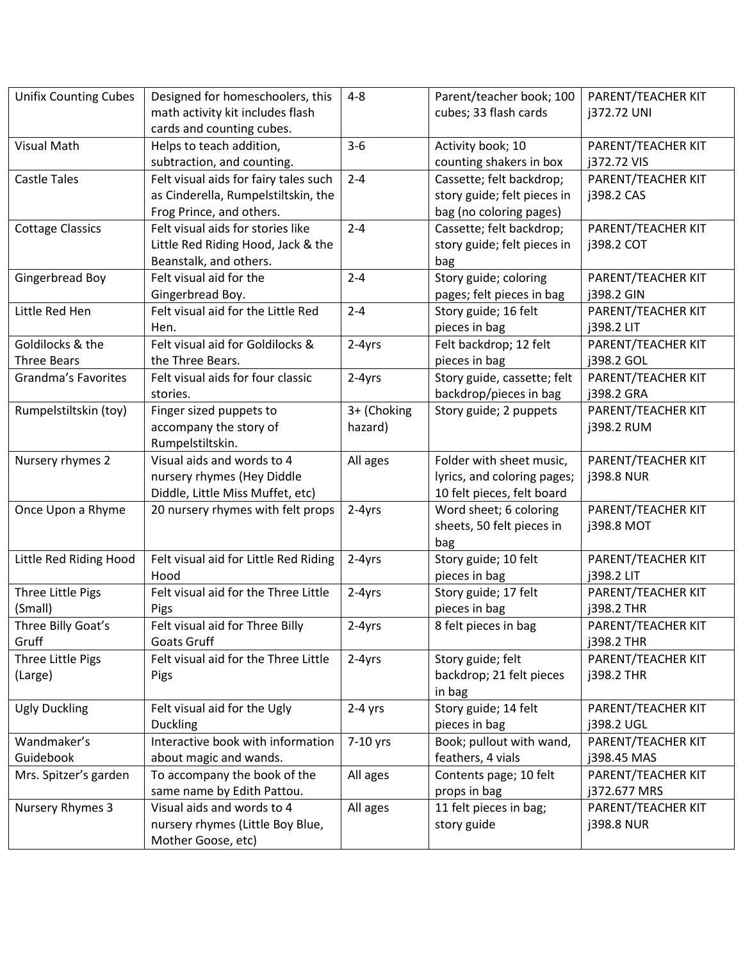| <b>Unifix Counting Cubes</b> | Designed for homeschoolers, this      | $4 - 8$     | Parent/teacher book; 100    | PARENT/TEACHER KIT |
|------------------------------|---------------------------------------|-------------|-----------------------------|--------------------|
|                              | math activity kit includes flash      |             | cubes; 33 flash cards       | j372.72 UNI        |
|                              | cards and counting cubes.             |             |                             |                    |
| <b>Visual Math</b>           | Helps to teach addition,              | $3 - 6$     | Activity book; 10           | PARENT/TEACHER KIT |
|                              | subtraction, and counting.            |             | counting shakers in box     | j372.72 VIS        |
| <b>Castle Tales</b>          | Felt visual aids for fairy tales such | $2 - 4$     | Cassette; felt backdrop;    | PARENT/TEACHER KIT |
|                              | as Cinderella, Rumpelstiltskin, the   |             | story guide; felt pieces in | j398.2 CAS         |
|                              | Frog Prince, and others.              |             | bag (no coloring pages)     |                    |
| <b>Cottage Classics</b>      | Felt visual aids for stories like     | $2 - 4$     | Cassette; felt backdrop;    | PARENT/TEACHER KIT |
|                              | Little Red Riding Hood, Jack & the    |             | story guide; felt pieces in | j398.2 COT         |
|                              | Beanstalk, and others.                |             | bag                         |                    |
| Gingerbread Boy              | Felt visual aid for the               | $2 - 4$     | Story guide; coloring       | PARENT/TEACHER KIT |
|                              | Gingerbread Boy.                      |             | pages; felt pieces in bag   | j398.2 GIN         |
| Little Red Hen               | Felt visual aid for the Little Red    | $2 - 4$     | Story guide; 16 felt        | PARENT/TEACHER KIT |
|                              | Hen.                                  |             | pieces in bag               | j398.2 LIT         |
| Goldilocks & the             | Felt visual aid for Goldilocks &      | 2-4yrs      | Felt backdrop; 12 felt      | PARENT/TEACHER KIT |
| <b>Three Bears</b>           | the Three Bears.                      |             | pieces in bag               | j398.2 GOL         |
| Grandma's Favorites          | Felt visual aids for four classic     | 2-4yrs      | Story guide, cassette; felt | PARENT/TEACHER KIT |
|                              | stories.                              |             | backdrop/pieces in bag      | j398.2 GRA         |
| Rumpelstiltskin (toy)        | Finger sized puppets to               | 3+ (Choking | Story guide; 2 puppets      | PARENT/TEACHER KIT |
|                              | accompany the story of                | hazard)     |                             | j398.2 RUM         |
|                              | Rumpelstiltskin.                      |             |                             |                    |
| Nursery rhymes 2             | Visual aids and words to 4            | All ages    | Folder with sheet music,    | PARENT/TEACHER KIT |
|                              | nursery rhymes (Hey Diddle            |             | lyrics, and coloring pages; | j398.8 NUR         |
|                              | Diddle, Little Miss Muffet, etc)      |             | 10 felt pieces, felt board  |                    |
| Once Upon a Rhyme            | 20 nursery rhymes with felt props     | 2-4yrs      | Word sheet; 6 coloring      | PARENT/TEACHER KIT |
|                              |                                       |             | sheets, 50 felt pieces in   | j398.8 MOT         |
|                              |                                       |             | bag                         |                    |
| Little Red Riding Hood       | Felt visual aid for Little Red Riding | 2-4yrs      | Story guide; 10 felt        | PARENT/TEACHER KIT |
|                              | Hood                                  |             | pieces in bag               | j398.2 LIT         |
| Three Little Pigs            | Felt visual aid for the Three Little  | 2-4yrs      | Story guide; 17 felt        | PARENT/TEACHER KIT |
| (Small)                      | Pigs                                  |             | pieces in bag               | j398.2 THR         |
| Three Billy Goat's           | Felt visual aid for Three Billy       | 2-4yrs      | 8 felt pieces in bag        | PARENT/TEACHER KIT |
| Gruff                        | Goats Gruff                           |             |                             | j398.2 THR         |
| Three Little Pigs            | Felt visual aid for the Three Little  | 2-4yrs      | Story guide; felt           | PARENT/TEACHER KIT |
| (Large)                      | Pigs                                  |             | backdrop; 21 felt pieces    | j398.2 THR         |
|                              |                                       |             | in bag                      |                    |
| <b>Ugly Duckling</b>         | Felt visual aid for the Ugly          | $2-4$ yrs   | Story guide; 14 felt        | PARENT/TEACHER KIT |
|                              | <b>Duckling</b>                       |             | pieces in bag               | j398.2 UGL         |
| Wandmaker's                  | Interactive book with information     | 7-10 yrs    | Book; pullout with wand,    | PARENT/TEACHER KIT |
| Guidebook                    | about magic and wands.                |             | feathers, 4 vials           | j398.45 MAS        |
| Mrs. Spitzer's garden        | To accompany the book of the          | All ages    | Contents page; 10 felt      | PARENT/TEACHER KIT |
|                              | same name by Edith Pattou.            |             | props in bag                | j372.677 MRS       |
| Nursery Rhymes 3             | Visual aids and words to 4            | All ages    | 11 felt pieces in bag;      | PARENT/TEACHER KIT |
|                              | nursery rhymes (Little Boy Blue,      |             | story guide                 | j398.8 NUR         |
|                              | Mother Goose, etc)                    |             |                             |                    |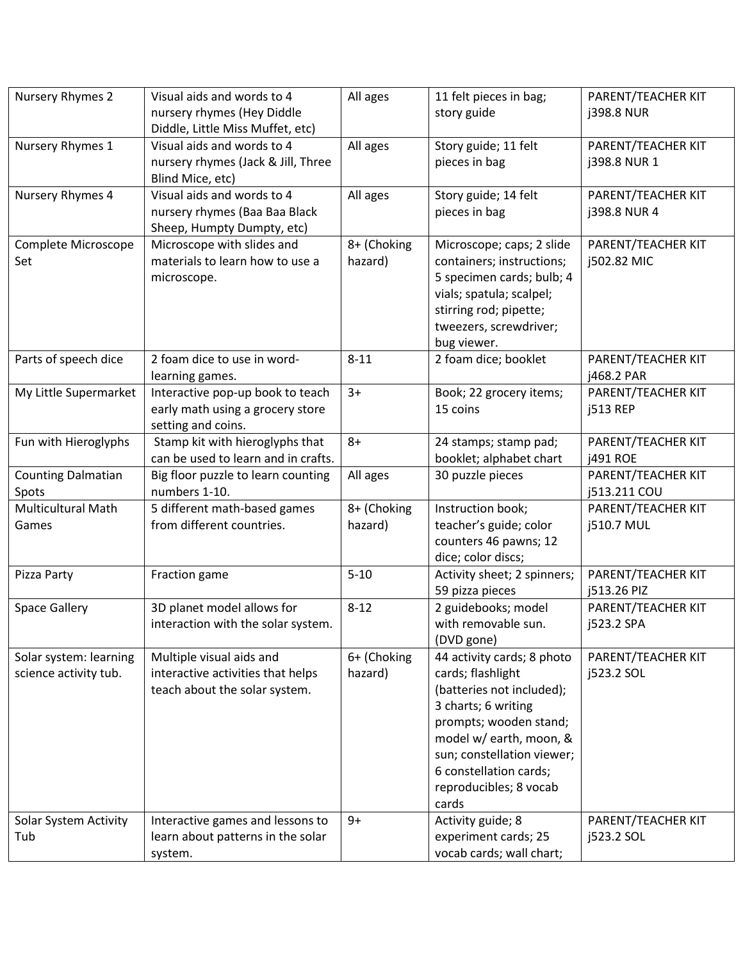| Nursery Rhymes 2<br>Visual aids and words to 4<br>All ages<br>11 felt pieces in bag;                                                                       | PARENT/TEACHER KIT               |
|------------------------------------------------------------------------------------------------------------------------------------------------------------|----------------------------------|
| nursery rhymes (Hey Diddle<br>story guide                                                                                                                  | <b>j398.8 NUR</b>                |
| Diddle, Little Miss Muffet, etc)                                                                                                                           |                                  |
| Visual aids and words to 4<br>Story guide; 11 felt<br>Nursery Rhymes 1<br>All ages                                                                         | PARENT/TEACHER KIT               |
| nursery rhymes (Jack & Jill, Three<br>pieces in bag                                                                                                        | j398.8 NUR 1                     |
| Blind Mice, etc)                                                                                                                                           |                                  |
| Nursery Rhymes 4<br>Visual aids and words to 4<br>Story guide; 14 felt<br>All ages                                                                         | PARENT/TEACHER KIT               |
| nursery rhymes (Baa Baa Black<br>pieces in bag                                                                                                             | j398.8 NUR 4                     |
| Sheep, Humpty Dumpty, etc)                                                                                                                                 |                                  |
| 8+ (Choking<br>Microscope with slides and<br>Complete Microscope<br>Microscope; caps; 2 slide                                                              | PARENT/TEACHER KIT               |
| materials to learn how to use a<br>containers; instructions;<br>Set<br>hazard)                                                                             | j502.82 MIC                      |
| 5 specimen cards; bulb; 4<br>microscope.                                                                                                                   |                                  |
| vials; spatula; scalpel;                                                                                                                                   |                                  |
| stirring rod; pipette;                                                                                                                                     |                                  |
| tweezers, screwdriver;                                                                                                                                     |                                  |
| bug viewer.                                                                                                                                                |                                  |
| 2 foam dice; booklet<br>Parts of speech dice<br>2 foam dice to use in word-<br>$8 - 11$                                                                    | PARENT/TEACHER KIT               |
| learning games.                                                                                                                                            | j468.2 PAR                       |
| My Little Supermarket<br>Interactive pop-up book to teach<br>$3+$<br>Book; 22 grocery items;                                                               | PARENT/TEACHER KIT               |
| early math using a grocery store<br>15 coins                                                                                                               | j513 REP                         |
| setting and coins.                                                                                                                                         |                                  |
| Fun with Hieroglyphs<br>Stamp kit with hieroglyphs that<br>$8+$<br>24 stamps; stamp pad;                                                                   | PARENT/TEACHER KIT               |
| can be used to learn and in crafts.<br>booklet; alphabet chart                                                                                             | <b>j491 ROE</b>                  |
| 30 puzzle pieces<br><b>Counting Dalmatian</b><br>Big floor puzzle to learn counting<br>All ages                                                            | PARENT/TEACHER KIT               |
| numbers 1-10.<br>Spots                                                                                                                                     | j513.211 COU                     |
| Multicultural Math<br>5 different math-based games<br>8+ (Choking<br>Instruction book;                                                                     | PARENT/TEACHER KIT               |
| from different countries.<br>hazard)<br>teacher's guide; color<br>Games                                                                                    | j510.7 MUL                       |
| counters 46 pawns; 12                                                                                                                                      |                                  |
| dice; color discs;                                                                                                                                         |                                  |
| $5 - 10$<br>Pizza Party<br>Fraction game<br>Activity sheet; 2 spinners;                                                                                    | PARENT/TEACHER KIT               |
| 59 pizza pieces                                                                                                                                            | j513.26 PIZ                      |
| 3D planet model allows for<br>2 guidebooks; model<br>$8 - 12$<br><b>Space Gallery</b>                                                                      | PARENT/TEACHER KIT               |
| with removable sun.<br>interaction with the solar system.                                                                                                  | j523.2 SPA                       |
| (DVD gone)                                                                                                                                                 |                                  |
| 44 activity cards; 8 photo<br>6+ (Choking<br>Solar system: learning<br>Multiple visual aids and                                                            | PARENT/TEACHER KIT               |
| science activity tub.<br>interactive activities that helps<br>hazard)<br>cards; flashlight                                                                 | j523.2 SOL                       |
| teach about the solar system.<br>(batteries not included);                                                                                                 |                                  |
| 3 charts; 6 writing                                                                                                                                        |                                  |
| prompts; wooden stand;                                                                                                                                     |                                  |
| model w/ earth, moon, &<br>sun; constellation viewer;                                                                                                      |                                  |
|                                                                                                                                                            |                                  |
| 6 constellation cards;<br>reproducibles; 8 vocab                                                                                                           |                                  |
| cards                                                                                                                                                      |                                  |
|                                                                                                                                                            |                                  |
|                                                                                                                                                            |                                  |
| Activity guide; 8<br>Solar System Activity<br>Interactive games and lessons to<br>$9+$<br>learn about patterns in the solar<br>experiment cards; 25<br>Tub | PARENT/TEACHER KIT<br>j523.2 SOL |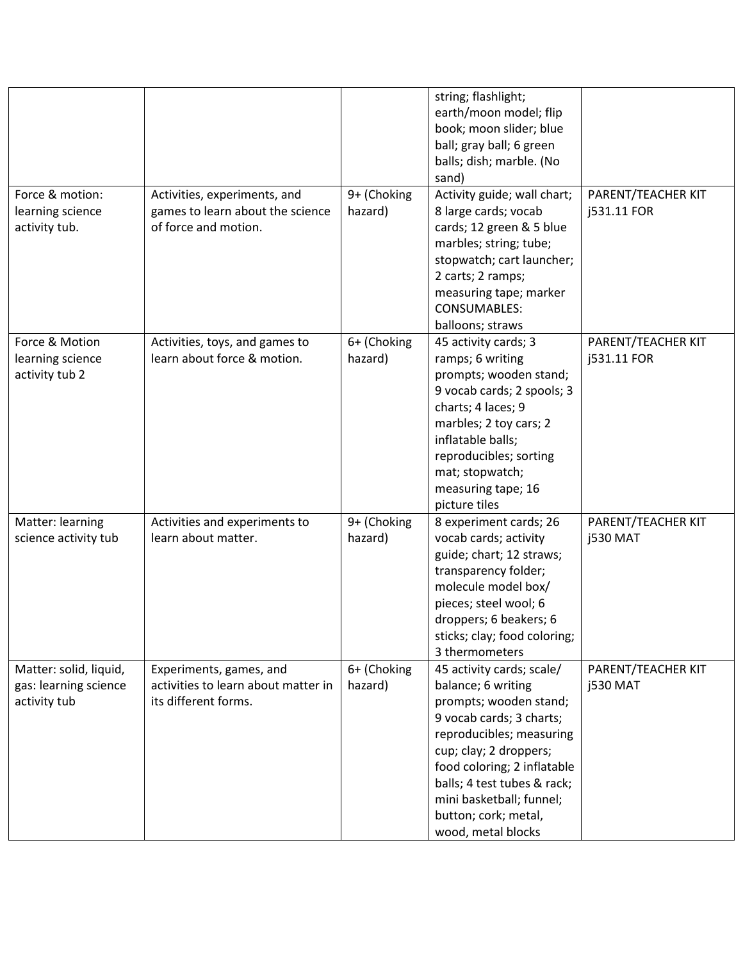| Force & motion:                                                 | Activities, experiments, and                                                           | 9+ (Choking            | string; flashlight;<br>earth/moon model; flip<br>book; moon slider; blue<br>ball; gray ball; 6 green<br>balls; dish; marble. (No<br>sand)<br>Activity guide; wall chart;                                                                                                                            | PARENT/TEACHER KIT                    |
|-----------------------------------------------------------------|----------------------------------------------------------------------------------------|------------------------|-----------------------------------------------------------------------------------------------------------------------------------------------------------------------------------------------------------------------------------------------------------------------------------------------------|---------------------------------------|
| learning science<br>activity tub.                               | games to learn about the science<br>of force and motion.                               | hazard)                | 8 large cards; vocab<br>cards; 12 green & 5 blue<br>marbles; string; tube;<br>stopwatch; cart launcher;<br>2 carts; 2 ramps;<br>measuring tape; marker<br><b>CONSUMABLES:</b><br>balloons; straws                                                                                                   | j531.11 FOR                           |
| Force & Motion<br>learning science<br>activity tub 2            | Activities, toys, and games to<br>learn about force & motion.                          | 6+ (Choking<br>hazard) | 45 activity cards; 3<br>ramps; 6 writing<br>prompts; wooden stand;<br>9 vocab cards; 2 spools; 3<br>charts; 4 laces; 9<br>marbles; 2 toy cars; 2<br>inflatable balls;<br>reproducibles; sorting<br>mat; stopwatch;<br>measuring tape; 16<br>picture tiles                                           | PARENT/TEACHER KIT<br>j531.11 FOR     |
| Matter: learning<br>science activity tub                        | Activities and experiments to<br>learn about matter.                                   | 9+ (Choking<br>hazard) | 8 experiment cards; 26<br>vocab cards; activity<br>guide; chart; 12 straws;<br>transparency folder;<br>molecule model box/<br>pieces; steel wool; 6<br>droppers; 6 beakers; 6<br>sticks; clay; food coloring;<br>3 thermometers                                                                     | PARENT/TEACHER KIT<br><b>j530 MAT</b> |
| Matter: solid, liquid,<br>gas: learning science<br>activity tub | Experiments, games, and<br>activities to learn about matter in<br>its different forms. | 6+ (Choking<br>hazard) | 45 activity cards; scale/<br>balance; 6 writing<br>prompts; wooden stand;<br>9 vocab cards; 3 charts;<br>reproducibles; measuring<br>cup; clay; 2 droppers;<br>food coloring; 2 inflatable<br>balls; 4 test tubes & rack;<br>mini basketball; funnel;<br>button; cork; metal,<br>wood, metal blocks | PARENT/TEACHER KIT<br><b>j530 MAT</b> |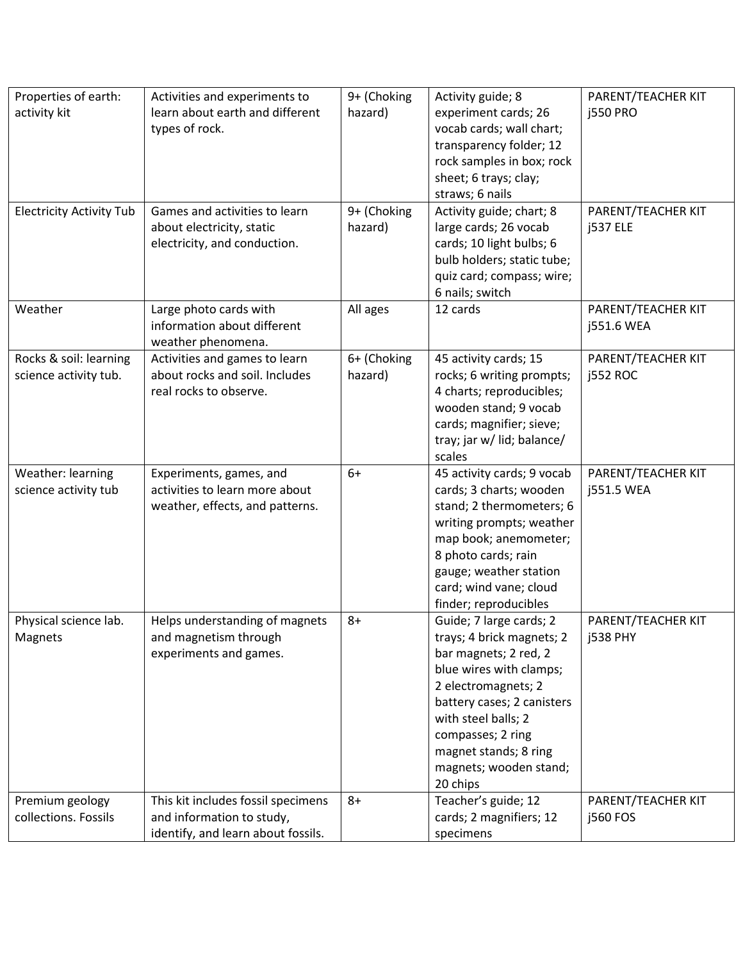| Properties of earth:            | Activities and experiments to      | 9+ (Choking | Activity guide; 8                                | PARENT/TEACHER KIT |
|---------------------------------|------------------------------------|-------------|--------------------------------------------------|--------------------|
| activity kit                    | learn about earth and different    | hazard)     | experiment cards; 26                             | <b>j550 PRO</b>    |
|                                 | types of rock.                     |             | vocab cards; wall chart;                         |                    |
|                                 |                                    |             | transparency folder; 12                          |                    |
|                                 |                                    |             | rock samples in box; rock                        |                    |
|                                 |                                    |             | sheet; 6 trays; clay;                            |                    |
|                                 |                                    |             | straws; 6 nails                                  |                    |
| <b>Electricity Activity Tub</b> | Games and activities to learn      | 9+ (Choking | Activity guide; chart; 8                         | PARENT/TEACHER KIT |
|                                 | about electricity, static          | hazard)     | large cards; 26 vocab                            | <b>j537 ELE</b>    |
|                                 | electricity, and conduction.       |             | cards; 10 light bulbs; 6                         |                    |
|                                 |                                    |             | bulb holders; static tube;                       |                    |
|                                 |                                    |             | quiz card; compass; wire;                        |                    |
|                                 |                                    |             | 6 nails; switch                                  |                    |
| Weather                         | Large photo cards with             | All ages    | 12 cards                                         | PARENT/TEACHER KIT |
|                                 | information about different        |             |                                                  | j551.6 WEA         |
|                                 | weather phenomena.                 |             |                                                  |                    |
| Rocks & soil: learning          | Activities and games to learn      | 6+ (Choking | 45 activity cards; 15                            | PARENT/TEACHER KIT |
| science activity tub.           | about rocks and soil. Includes     | hazard)     | rocks; 6 writing prompts;                        | <b>j552 ROC</b>    |
|                                 | real rocks to observe.             |             | 4 charts; reproducibles;                         |                    |
|                                 |                                    |             | wooden stand; 9 vocab                            |                    |
|                                 |                                    |             | cards; magnifier; sieve;                         |                    |
|                                 |                                    |             | tray; jar w/ lid; balance/                       |                    |
|                                 |                                    |             | scales                                           |                    |
| Weather: learning               | Experiments, games, and            | $6+$        | 45 activity cards; 9 vocab                       | PARENT/TEACHER KIT |
| science activity tub            | activities to learn more about     |             | cards; 3 charts; wooden                          | j551.5 WEA         |
|                                 | weather, effects, and patterns.    |             | stand; 2 thermometers; 6                         |                    |
|                                 |                                    |             | writing prompts; weather                         |                    |
|                                 |                                    |             | map book; anemometer;                            |                    |
|                                 |                                    |             | 8 photo cards; rain                              |                    |
|                                 |                                    |             | gauge; weather station<br>card; wind vane; cloud |                    |
|                                 |                                    |             | finder; reproducibles                            |                    |
| Physical science lab.           | Helps understanding of magnets     | $8+$        | Guide; 7 large cards; 2                          | PARENT/TEACHER KIT |
| Magnets                         | and magnetism through              |             | trays; 4 brick magnets; 2                        | <b>j538 PHY</b>    |
|                                 | experiments and games.             |             | bar magnets; 2 red, 2                            |                    |
|                                 |                                    |             | blue wires with clamps;                          |                    |
|                                 |                                    |             | 2 electromagnets; 2                              |                    |
|                                 |                                    |             | battery cases; 2 canisters                       |                    |
|                                 |                                    |             | with steel balls; 2                              |                    |
|                                 |                                    |             | compasses; 2 ring                                |                    |
|                                 |                                    |             | magnet stands; 8 ring                            |                    |
|                                 |                                    |             | magnets; wooden stand;                           |                    |
|                                 |                                    |             | 20 chips                                         |                    |
| Premium geology                 | This kit includes fossil specimens | $8+$        | Teacher's guide; 12                              | PARENT/TEACHER KIT |
| collections. Fossils            | and information to study,          |             | cards; 2 magnifiers; 12                          | <b>j560 FOS</b>    |
|                                 | identify, and learn about fossils. |             | specimens                                        |                    |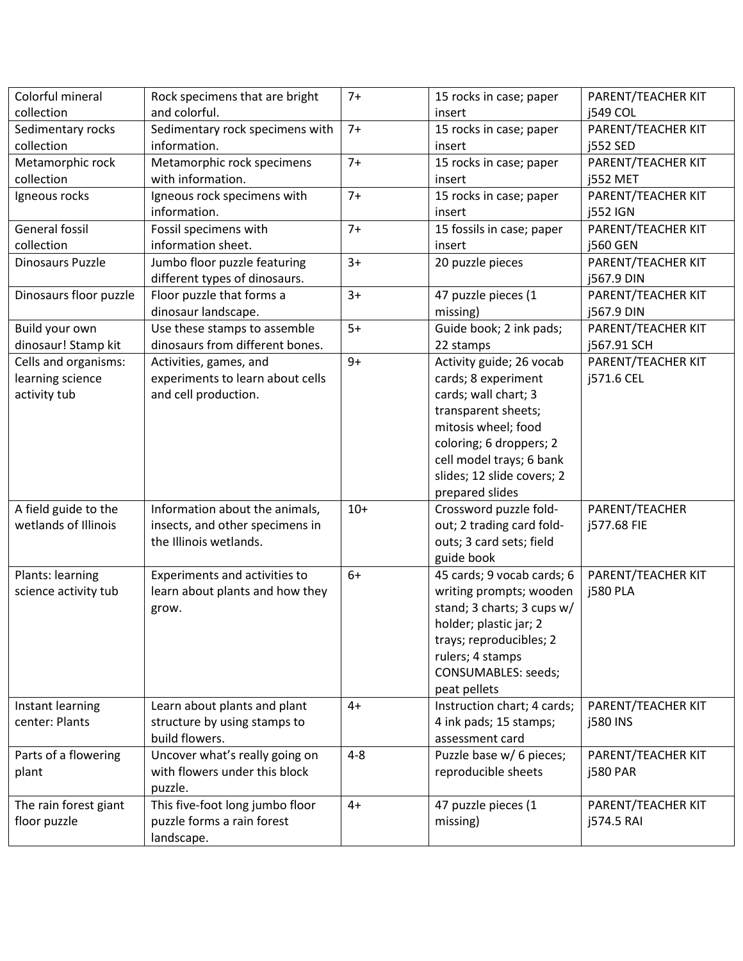| collection<br>and colorful.<br><b>j549 COL</b><br>insert<br>Sedimentary rocks<br>$7+$<br>Sedimentary rock specimens with<br>PARENT/TEACHER KIT<br>15 rocks in case; paper<br>collection<br>information.<br><b>j552 SED</b><br>insert<br>$7+$<br>Metamorphic rock<br>Metamorphic rock specimens<br>PARENT/TEACHER KIT<br>15 rocks in case; paper<br>with information.<br>collection<br><b>j552 MET</b><br>insert<br>$7+$<br>PARENT/TEACHER KIT<br>Igneous rocks<br>Igneous rock specimens with<br>15 rocks in case; paper<br>information.<br><b>j552 IGN</b><br>insert<br>General fossil<br>$7+$<br>Fossil specimens with<br>PARENT/TEACHER KIT<br>15 fossils in case; paper<br>information sheet.<br>collection<br><b>j560 GEN</b><br>insert<br>Jumbo floor puzzle featuring<br>$3+$<br>Dinosaurs Puzzle<br>20 puzzle pieces<br>PARENT/TEACHER KIT<br>different types of dinosaurs.<br>j567.9 DIN<br>Dinosaurs floor puzzle<br>Floor puzzle that forms a<br>$3+$<br>47 puzzle pieces (1<br>PARENT/TEACHER KIT<br>dinosaur landscape.<br>missing)<br>j567.9 DIN<br>$5+$<br>Use these stamps to assemble<br>Guide book; 2 ink pads;<br>PARENT/TEACHER KIT<br>Build your own<br>dinosaur! Stamp kit<br>dinosaurs from different bones.<br>22 stamps<br>j567.91 SCH<br>Cells and organisms:<br>Activities, games, and<br>$9+$<br>Activity guide; 26 vocab<br>PARENT/TEACHER KIT<br>learning science<br>experiments to learn about cells<br>cards; 8 experiment<br>j571.6 CEL<br>activity tub<br>and cell production.<br>cards; wall chart; 3<br>transparent sheets;<br>mitosis wheel; food<br>coloring; 6 droppers; 2<br>cell model trays; 6 bank<br>slides; 12 slide covers; 2<br>prepared slides<br>Crossword puzzle fold-<br>A field guide to the<br>Information about the animals,<br>PARENT/TEACHER<br>$10+$<br>wetlands of Illinois<br>out; 2 trading card fold-<br>insects, and other specimens in<br>j577.68 FIE<br>the Illinois wetlands.<br>outs; 3 card sets; field<br>guide book<br>Plants: learning<br>$6+$<br>45 cards; 9 vocab cards; 6<br>PARENT/TEACHER KIT<br>Experiments and activities to<br>learn about plants and how they<br>writing prompts; wooden<br><b>j580 PLA</b><br>science activity tub<br>stand; 3 charts; 3 cups w/<br>grow.<br>holder; plastic jar; 2<br>trays; reproducibles; 2<br>rulers; 4 stamps<br>CONSUMABLES: seeds;<br>peat pellets<br>Learn about plants and plant<br>Instruction chart; 4 cards;<br>PARENT/TEACHER KIT<br>Instant learning<br>$4+$<br>center: Plants<br>structure by using stamps to<br>4 ink pads; 15 stamps;<br><b>j580 INS</b><br>build flowers.<br>assessment card<br>Uncover what's really going on<br>$4 - 8$<br>Parts of a flowering<br>Puzzle base w/ 6 pieces;<br>PARENT/TEACHER KIT<br>with flowers under this block<br>reproducible sheets<br><b>j580 PAR</b><br>plant<br>puzzle.<br>This five-foot long jumbo floor<br>47 puzzle pieces (1<br>The rain forest giant<br>$4+$<br>PARENT/TEACHER KIT<br>floor puzzle<br>puzzle forms a rain forest<br>missing)<br>j574.5 RAI | Colorful mineral | Rock specimens that are bright | $7+$ | 15 rocks in case; paper | PARENT/TEACHER KIT |
|-----------------------------------------------------------------------------------------------------------------------------------------------------------------------------------------------------------------------------------------------------------------------------------------------------------------------------------------------------------------------------------------------------------------------------------------------------------------------------------------------------------------------------------------------------------------------------------------------------------------------------------------------------------------------------------------------------------------------------------------------------------------------------------------------------------------------------------------------------------------------------------------------------------------------------------------------------------------------------------------------------------------------------------------------------------------------------------------------------------------------------------------------------------------------------------------------------------------------------------------------------------------------------------------------------------------------------------------------------------------------------------------------------------------------------------------------------------------------------------------------------------------------------------------------------------------------------------------------------------------------------------------------------------------------------------------------------------------------------------------------------------------------------------------------------------------------------------------------------------------------------------------------------------------------------------------------------------------------------------------------------------------------------------------------------------------------------------------------------------------------------------------------------------------------------------------------------------------------------------------------------------------------------------------------------------------------------------------------------------------------------------------------------------------------------------------------------------------------------------------------------------------------------------------------------------------------------------------------------------------------------------------------------------------------------------------------------------------------------------------------------------------------------------------------------------------------------------------------------------------------------------------------------------------------------------------------------------------------------------------------------------------------------------------------|------------------|--------------------------------|------|-------------------------|--------------------|
|                                                                                                                                                                                                                                                                                                                                                                                                                                                                                                                                                                                                                                                                                                                                                                                                                                                                                                                                                                                                                                                                                                                                                                                                                                                                                                                                                                                                                                                                                                                                                                                                                                                                                                                                                                                                                                                                                                                                                                                                                                                                                                                                                                                                                                                                                                                                                                                                                                                                                                                                                                                                                                                                                                                                                                                                                                                                                                                                                                                                                                               |                  |                                |      |                         |                    |
|                                                                                                                                                                                                                                                                                                                                                                                                                                                                                                                                                                                                                                                                                                                                                                                                                                                                                                                                                                                                                                                                                                                                                                                                                                                                                                                                                                                                                                                                                                                                                                                                                                                                                                                                                                                                                                                                                                                                                                                                                                                                                                                                                                                                                                                                                                                                                                                                                                                                                                                                                                                                                                                                                                                                                                                                                                                                                                                                                                                                                                               |                  |                                |      |                         |                    |
|                                                                                                                                                                                                                                                                                                                                                                                                                                                                                                                                                                                                                                                                                                                                                                                                                                                                                                                                                                                                                                                                                                                                                                                                                                                                                                                                                                                                                                                                                                                                                                                                                                                                                                                                                                                                                                                                                                                                                                                                                                                                                                                                                                                                                                                                                                                                                                                                                                                                                                                                                                                                                                                                                                                                                                                                                                                                                                                                                                                                                                               |                  |                                |      |                         |                    |
|                                                                                                                                                                                                                                                                                                                                                                                                                                                                                                                                                                                                                                                                                                                                                                                                                                                                                                                                                                                                                                                                                                                                                                                                                                                                                                                                                                                                                                                                                                                                                                                                                                                                                                                                                                                                                                                                                                                                                                                                                                                                                                                                                                                                                                                                                                                                                                                                                                                                                                                                                                                                                                                                                                                                                                                                                                                                                                                                                                                                                                               |                  |                                |      |                         |                    |
|                                                                                                                                                                                                                                                                                                                                                                                                                                                                                                                                                                                                                                                                                                                                                                                                                                                                                                                                                                                                                                                                                                                                                                                                                                                                                                                                                                                                                                                                                                                                                                                                                                                                                                                                                                                                                                                                                                                                                                                                                                                                                                                                                                                                                                                                                                                                                                                                                                                                                                                                                                                                                                                                                                                                                                                                                                                                                                                                                                                                                                               |                  |                                |      |                         |                    |
|                                                                                                                                                                                                                                                                                                                                                                                                                                                                                                                                                                                                                                                                                                                                                                                                                                                                                                                                                                                                                                                                                                                                                                                                                                                                                                                                                                                                                                                                                                                                                                                                                                                                                                                                                                                                                                                                                                                                                                                                                                                                                                                                                                                                                                                                                                                                                                                                                                                                                                                                                                                                                                                                                                                                                                                                                                                                                                                                                                                                                                               |                  |                                |      |                         |                    |
|                                                                                                                                                                                                                                                                                                                                                                                                                                                                                                                                                                                                                                                                                                                                                                                                                                                                                                                                                                                                                                                                                                                                                                                                                                                                                                                                                                                                                                                                                                                                                                                                                                                                                                                                                                                                                                                                                                                                                                                                                                                                                                                                                                                                                                                                                                                                                                                                                                                                                                                                                                                                                                                                                                                                                                                                                                                                                                                                                                                                                                               |                  |                                |      |                         |                    |
|                                                                                                                                                                                                                                                                                                                                                                                                                                                                                                                                                                                                                                                                                                                                                                                                                                                                                                                                                                                                                                                                                                                                                                                                                                                                                                                                                                                                                                                                                                                                                                                                                                                                                                                                                                                                                                                                                                                                                                                                                                                                                                                                                                                                                                                                                                                                                                                                                                                                                                                                                                                                                                                                                                                                                                                                                                                                                                                                                                                                                                               |                  |                                |      |                         |                    |
|                                                                                                                                                                                                                                                                                                                                                                                                                                                                                                                                                                                                                                                                                                                                                                                                                                                                                                                                                                                                                                                                                                                                                                                                                                                                                                                                                                                                                                                                                                                                                                                                                                                                                                                                                                                                                                                                                                                                                                                                                                                                                                                                                                                                                                                                                                                                                                                                                                                                                                                                                                                                                                                                                                                                                                                                                                                                                                                                                                                                                                               |                  |                                |      |                         |                    |
|                                                                                                                                                                                                                                                                                                                                                                                                                                                                                                                                                                                                                                                                                                                                                                                                                                                                                                                                                                                                                                                                                                                                                                                                                                                                                                                                                                                                                                                                                                                                                                                                                                                                                                                                                                                                                                                                                                                                                                                                                                                                                                                                                                                                                                                                                                                                                                                                                                                                                                                                                                                                                                                                                                                                                                                                                                                                                                                                                                                                                                               |                  |                                |      |                         |                    |
|                                                                                                                                                                                                                                                                                                                                                                                                                                                                                                                                                                                                                                                                                                                                                                                                                                                                                                                                                                                                                                                                                                                                                                                                                                                                                                                                                                                                                                                                                                                                                                                                                                                                                                                                                                                                                                                                                                                                                                                                                                                                                                                                                                                                                                                                                                                                                                                                                                                                                                                                                                                                                                                                                                                                                                                                                                                                                                                                                                                                                                               |                  |                                |      |                         |                    |
|                                                                                                                                                                                                                                                                                                                                                                                                                                                                                                                                                                                                                                                                                                                                                                                                                                                                                                                                                                                                                                                                                                                                                                                                                                                                                                                                                                                                                                                                                                                                                                                                                                                                                                                                                                                                                                                                                                                                                                                                                                                                                                                                                                                                                                                                                                                                                                                                                                                                                                                                                                                                                                                                                                                                                                                                                                                                                                                                                                                                                                               |                  |                                |      |                         |                    |
|                                                                                                                                                                                                                                                                                                                                                                                                                                                                                                                                                                                                                                                                                                                                                                                                                                                                                                                                                                                                                                                                                                                                                                                                                                                                                                                                                                                                                                                                                                                                                                                                                                                                                                                                                                                                                                                                                                                                                                                                                                                                                                                                                                                                                                                                                                                                                                                                                                                                                                                                                                                                                                                                                                                                                                                                                                                                                                                                                                                                                                               |                  |                                |      |                         |                    |
|                                                                                                                                                                                                                                                                                                                                                                                                                                                                                                                                                                                                                                                                                                                                                                                                                                                                                                                                                                                                                                                                                                                                                                                                                                                                                                                                                                                                                                                                                                                                                                                                                                                                                                                                                                                                                                                                                                                                                                                                                                                                                                                                                                                                                                                                                                                                                                                                                                                                                                                                                                                                                                                                                                                                                                                                                                                                                                                                                                                                                                               |                  |                                |      |                         |                    |
|                                                                                                                                                                                                                                                                                                                                                                                                                                                                                                                                                                                                                                                                                                                                                                                                                                                                                                                                                                                                                                                                                                                                                                                                                                                                                                                                                                                                                                                                                                                                                                                                                                                                                                                                                                                                                                                                                                                                                                                                                                                                                                                                                                                                                                                                                                                                                                                                                                                                                                                                                                                                                                                                                                                                                                                                                                                                                                                                                                                                                                               |                  |                                |      |                         |                    |
|                                                                                                                                                                                                                                                                                                                                                                                                                                                                                                                                                                                                                                                                                                                                                                                                                                                                                                                                                                                                                                                                                                                                                                                                                                                                                                                                                                                                                                                                                                                                                                                                                                                                                                                                                                                                                                                                                                                                                                                                                                                                                                                                                                                                                                                                                                                                                                                                                                                                                                                                                                                                                                                                                                                                                                                                                                                                                                                                                                                                                                               |                  |                                |      |                         |                    |
|                                                                                                                                                                                                                                                                                                                                                                                                                                                                                                                                                                                                                                                                                                                                                                                                                                                                                                                                                                                                                                                                                                                                                                                                                                                                                                                                                                                                                                                                                                                                                                                                                                                                                                                                                                                                                                                                                                                                                                                                                                                                                                                                                                                                                                                                                                                                                                                                                                                                                                                                                                                                                                                                                                                                                                                                                                                                                                                                                                                                                                               |                  |                                |      |                         |                    |
|                                                                                                                                                                                                                                                                                                                                                                                                                                                                                                                                                                                                                                                                                                                                                                                                                                                                                                                                                                                                                                                                                                                                                                                                                                                                                                                                                                                                                                                                                                                                                                                                                                                                                                                                                                                                                                                                                                                                                                                                                                                                                                                                                                                                                                                                                                                                                                                                                                                                                                                                                                                                                                                                                                                                                                                                                                                                                                                                                                                                                                               |                  |                                |      |                         |                    |
|                                                                                                                                                                                                                                                                                                                                                                                                                                                                                                                                                                                                                                                                                                                                                                                                                                                                                                                                                                                                                                                                                                                                                                                                                                                                                                                                                                                                                                                                                                                                                                                                                                                                                                                                                                                                                                                                                                                                                                                                                                                                                                                                                                                                                                                                                                                                                                                                                                                                                                                                                                                                                                                                                                                                                                                                                                                                                                                                                                                                                                               |                  |                                |      |                         |                    |
|                                                                                                                                                                                                                                                                                                                                                                                                                                                                                                                                                                                                                                                                                                                                                                                                                                                                                                                                                                                                                                                                                                                                                                                                                                                                                                                                                                                                                                                                                                                                                                                                                                                                                                                                                                                                                                                                                                                                                                                                                                                                                                                                                                                                                                                                                                                                                                                                                                                                                                                                                                                                                                                                                                                                                                                                                                                                                                                                                                                                                                               |                  |                                |      |                         |                    |
|                                                                                                                                                                                                                                                                                                                                                                                                                                                                                                                                                                                                                                                                                                                                                                                                                                                                                                                                                                                                                                                                                                                                                                                                                                                                                                                                                                                                                                                                                                                                                                                                                                                                                                                                                                                                                                                                                                                                                                                                                                                                                                                                                                                                                                                                                                                                                                                                                                                                                                                                                                                                                                                                                                                                                                                                                                                                                                                                                                                                                                               |                  |                                |      |                         |                    |
|                                                                                                                                                                                                                                                                                                                                                                                                                                                                                                                                                                                                                                                                                                                                                                                                                                                                                                                                                                                                                                                                                                                                                                                                                                                                                                                                                                                                                                                                                                                                                                                                                                                                                                                                                                                                                                                                                                                                                                                                                                                                                                                                                                                                                                                                                                                                                                                                                                                                                                                                                                                                                                                                                                                                                                                                                                                                                                                                                                                                                                               |                  |                                |      |                         |                    |
|                                                                                                                                                                                                                                                                                                                                                                                                                                                                                                                                                                                                                                                                                                                                                                                                                                                                                                                                                                                                                                                                                                                                                                                                                                                                                                                                                                                                                                                                                                                                                                                                                                                                                                                                                                                                                                                                                                                                                                                                                                                                                                                                                                                                                                                                                                                                                                                                                                                                                                                                                                                                                                                                                                                                                                                                                                                                                                                                                                                                                                               |                  |                                |      |                         |                    |
|                                                                                                                                                                                                                                                                                                                                                                                                                                                                                                                                                                                                                                                                                                                                                                                                                                                                                                                                                                                                                                                                                                                                                                                                                                                                                                                                                                                                                                                                                                                                                                                                                                                                                                                                                                                                                                                                                                                                                                                                                                                                                                                                                                                                                                                                                                                                                                                                                                                                                                                                                                                                                                                                                                                                                                                                                                                                                                                                                                                                                                               |                  |                                |      |                         |                    |
|                                                                                                                                                                                                                                                                                                                                                                                                                                                                                                                                                                                                                                                                                                                                                                                                                                                                                                                                                                                                                                                                                                                                                                                                                                                                                                                                                                                                                                                                                                                                                                                                                                                                                                                                                                                                                                                                                                                                                                                                                                                                                                                                                                                                                                                                                                                                                                                                                                                                                                                                                                                                                                                                                                                                                                                                                                                                                                                                                                                                                                               |                  |                                |      |                         |                    |
|                                                                                                                                                                                                                                                                                                                                                                                                                                                                                                                                                                                                                                                                                                                                                                                                                                                                                                                                                                                                                                                                                                                                                                                                                                                                                                                                                                                                                                                                                                                                                                                                                                                                                                                                                                                                                                                                                                                                                                                                                                                                                                                                                                                                                                                                                                                                                                                                                                                                                                                                                                                                                                                                                                                                                                                                                                                                                                                                                                                                                                               |                  |                                |      |                         |                    |
|                                                                                                                                                                                                                                                                                                                                                                                                                                                                                                                                                                                                                                                                                                                                                                                                                                                                                                                                                                                                                                                                                                                                                                                                                                                                                                                                                                                                                                                                                                                                                                                                                                                                                                                                                                                                                                                                                                                                                                                                                                                                                                                                                                                                                                                                                                                                                                                                                                                                                                                                                                                                                                                                                                                                                                                                                                                                                                                                                                                                                                               |                  |                                |      |                         |                    |
|                                                                                                                                                                                                                                                                                                                                                                                                                                                                                                                                                                                                                                                                                                                                                                                                                                                                                                                                                                                                                                                                                                                                                                                                                                                                                                                                                                                                                                                                                                                                                                                                                                                                                                                                                                                                                                                                                                                                                                                                                                                                                                                                                                                                                                                                                                                                                                                                                                                                                                                                                                                                                                                                                                                                                                                                                                                                                                                                                                                                                                               |                  |                                |      |                         |                    |
|                                                                                                                                                                                                                                                                                                                                                                                                                                                                                                                                                                                                                                                                                                                                                                                                                                                                                                                                                                                                                                                                                                                                                                                                                                                                                                                                                                                                                                                                                                                                                                                                                                                                                                                                                                                                                                                                                                                                                                                                                                                                                                                                                                                                                                                                                                                                                                                                                                                                                                                                                                                                                                                                                                                                                                                                                                                                                                                                                                                                                                               |                  |                                |      |                         |                    |
|                                                                                                                                                                                                                                                                                                                                                                                                                                                                                                                                                                                                                                                                                                                                                                                                                                                                                                                                                                                                                                                                                                                                                                                                                                                                                                                                                                                                                                                                                                                                                                                                                                                                                                                                                                                                                                                                                                                                                                                                                                                                                                                                                                                                                                                                                                                                                                                                                                                                                                                                                                                                                                                                                                                                                                                                                                                                                                                                                                                                                                               |                  |                                |      |                         |                    |
|                                                                                                                                                                                                                                                                                                                                                                                                                                                                                                                                                                                                                                                                                                                                                                                                                                                                                                                                                                                                                                                                                                                                                                                                                                                                                                                                                                                                                                                                                                                                                                                                                                                                                                                                                                                                                                                                                                                                                                                                                                                                                                                                                                                                                                                                                                                                                                                                                                                                                                                                                                                                                                                                                                                                                                                                                                                                                                                                                                                                                                               |                  |                                |      |                         |                    |
|                                                                                                                                                                                                                                                                                                                                                                                                                                                                                                                                                                                                                                                                                                                                                                                                                                                                                                                                                                                                                                                                                                                                                                                                                                                                                                                                                                                                                                                                                                                                                                                                                                                                                                                                                                                                                                                                                                                                                                                                                                                                                                                                                                                                                                                                                                                                                                                                                                                                                                                                                                                                                                                                                                                                                                                                                                                                                                                                                                                                                                               |                  |                                |      |                         |                    |
|                                                                                                                                                                                                                                                                                                                                                                                                                                                                                                                                                                                                                                                                                                                                                                                                                                                                                                                                                                                                                                                                                                                                                                                                                                                                                                                                                                                                                                                                                                                                                                                                                                                                                                                                                                                                                                                                                                                                                                                                                                                                                                                                                                                                                                                                                                                                                                                                                                                                                                                                                                                                                                                                                                                                                                                                                                                                                                                                                                                                                                               |                  |                                |      |                         |                    |
|                                                                                                                                                                                                                                                                                                                                                                                                                                                                                                                                                                                                                                                                                                                                                                                                                                                                                                                                                                                                                                                                                                                                                                                                                                                                                                                                                                                                                                                                                                                                                                                                                                                                                                                                                                                                                                                                                                                                                                                                                                                                                                                                                                                                                                                                                                                                                                                                                                                                                                                                                                                                                                                                                                                                                                                                                                                                                                                                                                                                                                               |                  |                                |      |                         |                    |
|                                                                                                                                                                                                                                                                                                                                                                                                                                                                                                                                                                                                                                                                                                                                                                                                                                                                                                                                                                                                                                                                                                                                                                                                                                                                                                                                                                                                                                                                                                                                                                                                                                                                                                                                                                                                                                                                                                                                                                                                                                                                                                                                                                                                                                                                                                                                                                                                                                                                                                                                                                                                                                                                                                                                                                                                                                                                                                                                                                                                                                               |                  |                                |      |                         |                    |
|                                                                                                                                                                                                                                                                                                                                                                                                                                                                                                                                                                                                                                                                                                                                                                                                                                                                                                                                                                                                                                                                                                                                                                                                                                                                                                                                                                                                                                                                                                                                                                                                                                                                                                                                                                                                                                                                                                                                                                                                                                                                                                                                                                                                                                                                                                                                                                                                                                                                                                                                                                                                                                                                                                                                                                                                                                                                                                                                                                                                                                               |                  |                                |      |                         |                    |
|                                                                                                                                                                                                                                                                                                                                                                                                                                                                                                                                                                                                                                                                                                                                                                                                                                                                                                                                                                                                                                                                                                                                                                                                                                                                                                                                                                                                                                                                                                                                                                                                                                                                                                                                                                                                                                                                                                                                                                                                                                                                                                                                                                                                                                                                                                                                                                                                                                                                                                                                                                                                                                                                                                                                                                                                                                                                                                                                                                                                                                               |                  |                                |      |                         |                    |
|                                                                                                                                                                                                                                                                                                                                                                                                                                                                                                                                                                                                                                                                                                                                                                                                                                                                                                                                                                                                                                                                                                                                                                                                                                                                                                                                                                                                                                                                                                                                                                                                                                                                                                                                                                                                                                                                                                                                                                                                                                                                                                                                                                                                                                                                                                                                                                                                                                                                                                                                                                                                                                                                                                                                                                                                                                                                                                                                                                                                                                               |                  |                                |      |                         |                    |
|                                                                                                                                                                                                                                                                                                                                                                                                                                                                                                                                                                                                                                                                                                                                                                                                                                                                                                                                                                                                                                                                                                                                                                                                                                                                                                                                                                                                                                                                                                                                                                                                                                                                                                                                                                                                                                                                                                                                                                                                                                                                                                                                                                                                                                                                                                                                                                                                                                                                                                                                                                                                                                                                                                                                                                                                                                                                                                                                                                                                                                               |                  |                                |      |                         |                    |
|                                                                                                                                                                                                                                                                                                                                                                                                                                                                                                                                                                                                                                                                                                                                                                                                                                                                                                                                                                                                                                                                                                                                                                                                                                                                                                                                                                                                                                                                                                                                                                                                                                                                                                                                                                                                                                                                                                                                                                                                                                                                                                                                                                                                                                                                                                                                                                                                                                                                                                                                                                                                                                                                                                                                                                                                                                                                                                                                                                                                                                               |                  |                                |      |                         |                    |
|                                                                                                                                                                                                                                                                                                                                                                                                                                                                                                                                                                                                                                                                                                                                                                                                                                                                                                                                                                                                                                                                                                                                                                                                                                                                                                                                                                                                                                                                                                                                                                                                                                                                                                                                                                                                                                                                                                                                                                                                                                                                                                                                                                                                                                                                                                                                                                                                                                                                                                                                                                                                                                                                                                                                                                                                                                                                                                                                                                                                                                               |                  |                                |      |                         |                    |
|                                                                                                                                                                                                                                                                                                                                                                                                                                                                                                                                                                                                                                                                                                                                                                                                                                                                                                                                                                                                                                                                                                                                                                                                                                                                                                                                                                                                                                                                                                                                                                                                                                                                                                                                                                                                                                                                                                                                                                                                                                                                                                                                                                                                                                                                                                                                                                                                                                                                                                                                                                                                                                                                                                                                                                                                                                                                                                                                                                                                                                               |                  |                                |      |                         |                    |
|                                                                                                                                                                                                                                                                                                                                                                                                                                                                                                                                                                                                                                                                                                                                                                                                                                                                                                                                                                                                                                                                                                                                                                                                                                                                                                                                                                                                                                                                                                                                                                                                                                                                                                                                                                                                                                                                                                                                                                                                                                                                                                                                                                                                                                                                                                                                                                                                                                                                                                                                                                                                                                                                                                                                                                                                                                                                                                                                                                                                                                               |                  |                                |      |                         |                    |
|                                                                                                                                                                                                                                                                                                                                                                                                                                                                                                                                                                                                                                                                                                                                                                                                                                                                                                                                                                                                                                                                                                                                                                                                                                                                                                                                                                                                                                                                                                                                                                                                                                                                                                                                                                                                                                                                                                                                                                                                                                                                                                                                                                                                                                                                                                                                                                                                                                                                                                                                                                                                                                                                                                                                                                                                                                                                                                                                                                                                                                               |                  |                                |      |                         |                    |
|                                                                                                                                                                                                                                                                                                                                                                                                                                                                                                                                                                                                                                                                                                                                                                                                                                                                                                                                                                                                                                                                                                                                                                                                                                                                                                                                                                                                                                                                                                                                                                                                                                                                                                                                                                                                                                                                                                                                                                                                                                                                                                                                                                                                                                                                                                                                                                                                                                                                                                                                                                                                                                                                                                                                                                                                                                                                                                                                                                                                                                               |                  | landscape.                     |      |                         |                    |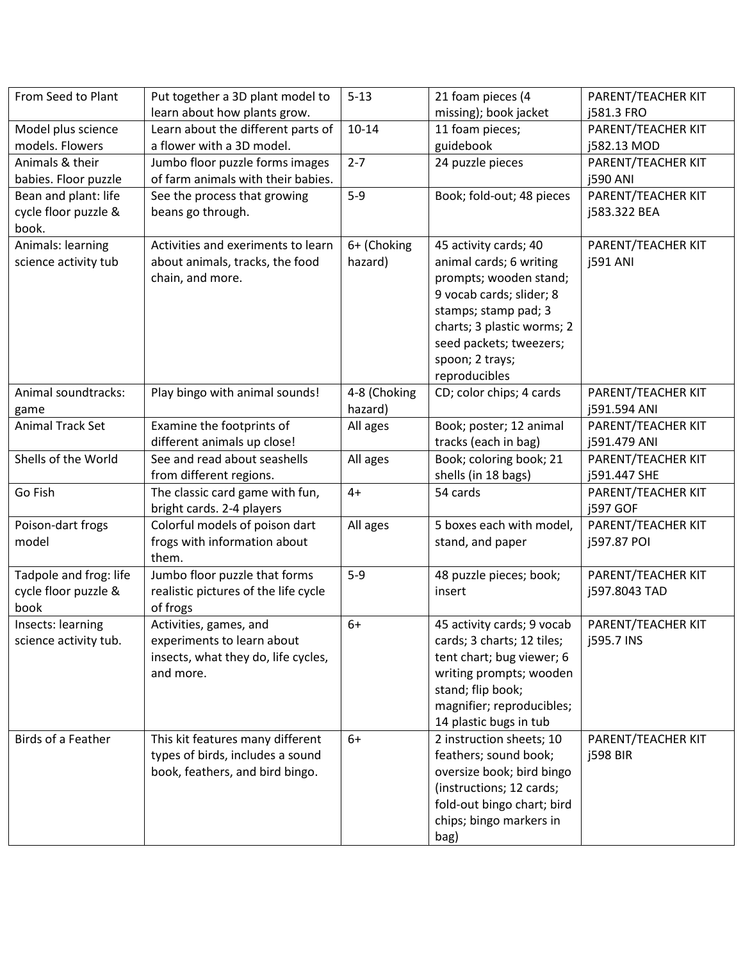| PARENT/TEACHER KIT<br>PARENT/TEACHER KIT                                                                                                                                     |
|------------------------------------------------------------------------------------------------------------------------------------------------------------------------------|
|                                                                                                                                                                              |
|                                                                                                                                                                              |
|                                                                                                                                                                              |
|                                                                                                                                                                              |
|                                                                                                                                                                              |
| PARENT/TEACHER KIT                                                                                                                                                           |
|                                                                                                                                                                              |
|                                                                                                                                                                              |
|                                                                                                                                                                              |
|                                                                                                                                                                              |
|                                                                                                                                                                              |
|                                                                                                                                                                              |
|                                                                                                                                                                              |
|                                                                                                                                                                              |
|                                                                                                                                                                              |
|                                                                                                                                                                              |
|                                                                                                                                                                              |
|                                                                                                                                                                              |
|                                                                                                                                                                              |
|                                                                                                                                                                              |
|                                                                                                                                                                              |
|                                                                                                                                                                              |
|                                                                                                                                                                              |
|                                                                                                                                                                              |
|                                                                                                                                                                              |
|                                                                                                                                                                              |
|                                                                                                                                                                              |
|                                                                                                                                                                              |
|                                                                                                                                                                              |
|                                                                                                                                                                              |
|                                                                                                                                                                              |
|                                                                                                                                                                              |
|                                                                                                                                                                              |
|                                                                                                                                                                              |
|                                                                                                                                                                              |
|                                                                                                                                                                              |
|                                                                                                                                                                              |
| PARENT/TEACHER KIT                                                                                                                                                           |
|                                                                                                                                                                              |
|                                                                                                                                                                              |
|                                                                                                                                                                              |
|                                                                                                                                                                              |
|                                                                                                                                                                              |
|                                                                                                                                                                              |
| PARENT/TEACHER KIT<br>PARENT/TEACHER KIT<br>PARENT/TEACHER KIT<br>PARENT/TEACHER KIT<br>PARENT/TEACHER KIT<br>PARENT/TEACHER KIT<br>PARENT/TEACHER KIT<br>PARENT/TEACHER KIT |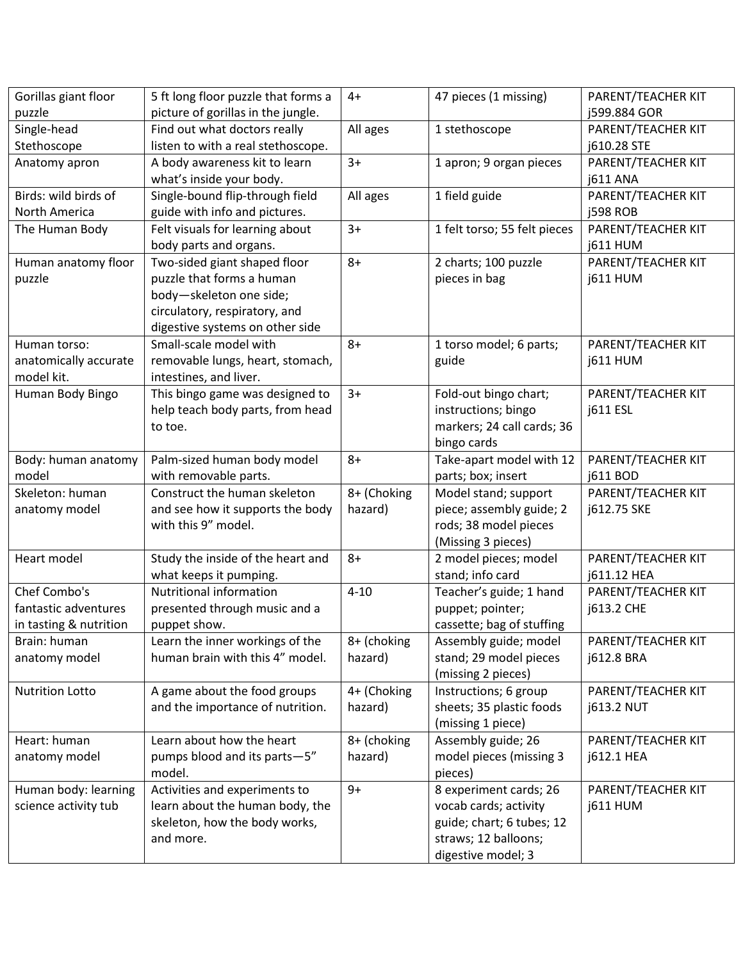| Gorillas giant floor   | 5 ft long floor puzzle that forms a | $4+$        | 47 pieces (1 missing)        | PARENT/TEACHER KIT |
|------------------------|-------------------------------------|-------------|------------------------------|--------------------|
| puzzle                 | picture of gorillas in the jungle.  |             |                              | j599.884 GOR       |
| Single-head            | Find out what doctors really        | All ages    | 1 stethoscope                | PARENT/TEACHER KIT |
| Stethoscope            | listen to with a real stethoscope.  |             |                              | j610.28 STE        |
| Anatomy apron          | A body awareness kit to learn       | $3+$        | 1 apron; 9 organ pieces      | PARENT/TEACHER KIT |
|                        | what's inside your body.            |             |                              | <b>j611 ANA</b>    |
| Birds: wild birds of   | Single-bound flip-through field     | All ages    | 1 field guide                | PARENT/TEACHER KIT |
| North America          | guide with info and pictures.       |             |                              | <b>j598 ROB</b>    |
| The Human Body         | Felt visuals for learning about     | $3+$        | 1 felt torso; 55 felt pieces | PARENT/TEACHER KIT |
|                        | body parts and organs.              |             |                              | <b>j611 HUM</b>    |
| Human anatomy floor    | Two-sided giant shaped floor        | $8+$        | 2 charts; 100 puzzle         | PARENT/TEACHER KIT |
| puzzle                 | puzzle that forms a human           |             | pieces in bag                | <b>j611 HUM</b>    |
|                        | body-skeleton one side;             |             |                              |                    |
|                        | circulatory, respiratory, and       |             |                              |                    |
|                        | digestive systems on other side     |             |                              |                    |
| Human torso:           | Small-scale model with              | $8+$        | 1 torso model; 6 parts;      | PARENT/TEACHER KIT |
| anatomically accurate  | removable lungs, heart, stomach,    |             | guide                        | <b>j611 HUM</b>    |
| model kit.             | intestines, and liver.              |             |                              |                    |
| Human Body Bingo       | This bingo game was designed to     | $3+$        | Fold-out bingo chart;        | PARENT/TEACHER KIT |
|                        | help teach body parts, from head    |             | instructions; bingo          | j611 ESL           |
|                        | to toe.                             |             | markers; 24 call cards; 36   |                    |
|                        |                                     |             | bingo cards                  |                    |
| Body: human anatomy    | Palm-sized human body model         | $8+$        | Take-apart model with 12     | PARENT/TEACHER KIT |
| model                  | with removable parts.               |             | parts; box; insert           | j611 BOD           |
| Skeleton: human        | Construct the human skeleton        | 8+ (Choking | Model stand; support         | PARENT/TEACHER KIT |
| anatomy model          | and see how it supports the body    | hazard)     | piece; assembly guide; 2     | j612.75 SKE        |
|                        | with this 9" model.                 |             | rods; 38 model pieces        |                    |
|                        |                                     |             | (Missing 3 pieces)           |                    |
| Heart model            | Study the inside of the heart and   | $8+$        | 2 model pieces; model        | PARENT/TEACHER KIT |
|                        | what keeps it pumping.              |             | stand; info card             | j611.12 HEA        |
| Chef Combo's           | <b>Nutritional information</b>      | $4 - 10$    | Teacher's guide; 1 hand      | PARENT/TEACHER KIT |
| fantastic adventures   | presented through music and a       |             | puppet; pointer;             | j613.2 CHE         |
| in tasting & nutrition | puppet show.                        |             | cassette; bag of stuffing    |                    |
| Brain: human           | Learn the inner workings of the     | 8+ (choking | Assembly guide; model        | PARENT/TEACHER KIT |
| anatomy model          | human brain with this 4" model.     | hazard)     | stand; 29 model pieces       | j612.8 BRA         |
|                        |                                     |             | (missing 2 pieces)           |                    |
| <b>Nutrition Lotto</b> | A game about the food groups        | 4+ (Choking | Instructions; 6 group        | PARENT/TEACHER KIT |
|                        | and the importance of nutrition.    | hazard)     | sheets; 35 plastic foods     | <b>j613.2 NUT</b>  |
|                        |                                     |             | (missing 1 piece)            |                    |
| Heart: human           | Learn about how the heart           | 8+ (choking | Assembly guide; 26           | PARENT/TEACHER KIT |
| anatomy model          | pumps blood and its parts-5"        | hazard)     | model pieces (missing 3      | j612.1 HEA         |
|                        | model.                              |             | pieces)                      |                    |
| Human body: learning   | Activities and experiments to       | $9+$        | 8 experiment cards; 26       | PARENT/TEACHER KIT |
| science activity tub   | learn about the human body, the     |             | vocab cards; activity        | <b>j611 HUM</b>    |
|                        | skeleton, how the body works,       |             | guide; chart; 6 tubes; 12    |                    |
|                        | and more.                           |             | straws; 12 balloons;         |                    |
|                        |                                     |             | digestive model; 3           |                    |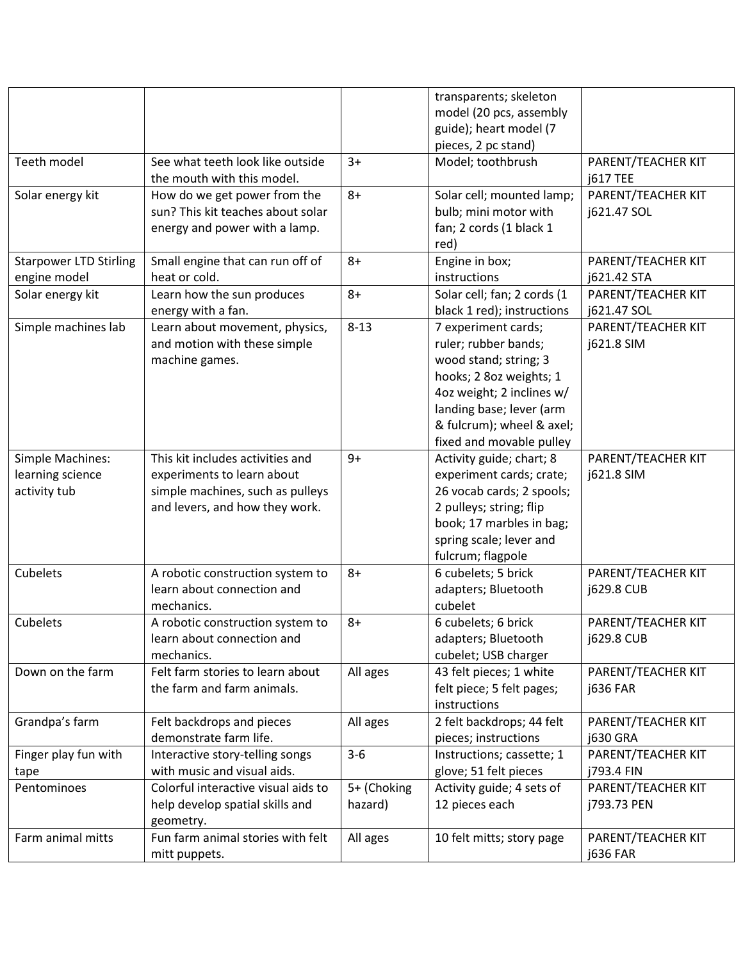|                               |                                     |             | transparents; skeleton      |                    |
|-------------------------------|-------------------------------------|-------------|-----------------------------|--------------------|
|                               |                                     |             | model (20 pcs, assembly     |                    |
|                               |                                     |             | guide); heart model (7      |                    |
|                               |                                     |             | pieces, 2 pc stand)         |                    |
| Teeth model                   | See what teeth look like outside    | $3+$        | Model; toothbrush           | PARENT/TEACHER KIT |
|                               | the mouth with this model.          |             |                             | <b>j617 TEE</b>    |
| Solar energy kit              | How do we get power from the        | $8+$        | Solar cell; mounted lamp;   | PARENT/TEACHER KIT |
|                               | sun? This kit teaches about solar   |             | bulb; mini motor with       | j621.47 SOL        |
|                               | energy and power with a lamp.       |             | fan; 2 cords (1 black 1     |                    |
|                               |                                     |             | red)                        |                    |
| <b>Starpower LTD Stirling</b> | Small engine that can run off of    | $8+$        | Engine in box;              | PARENT/TEACHER KIT |
| engine model                  | heat or cold.                       |             | instructions                | j621.42 STA        |
| Solar energy kit              | Learn how the sun produces          | $8+$        | Solar cell; fan; 2 cords (1 | PARENT/TEACHER KIT |
|                               | energy with a fan.                  |             | black 1 red); instructions  | j621.47 SOL        |
| Simple machines lab           | Learn about movement, physics,      | $8 - 13$    | 7 experiment cards;         | PARENT/TEACHER KIT |
|                               | and motion with these simple        |             | ruler; rubber bands;        | j621.8 SIM         |
|                               | machine games.                      |             | wood stand; string; 3       |                    |
|                               |                                     |             | hooks; 2 8oz weights; 1     |                    |
|                               |                                     |             | 4oz weight; 2 inclines w/   |                    |
|                               |                                     |             | landing base; lever (arm    |                    |
|                               |                                     |             | & fulcrum); wheel & axel;   |                    |
|                               |                                     |             | fixed and movable pulley    |                    |
| Simple Machines:              | This kit includes activities and    | $9+$        | Activity guide; chart; 8    | PARENT/TEACHER KIT |
| learning science              | experiments to learn about          |             | experiment cards; crate;    | j621.8 SIM         |
| activity tub                  | simple machines, such as pulleys    |             | 26 vocab cards; 2 spools;   |                    |
|                               | and levers, and how they work.      |             | 2 pulleys; string; flip     |                    |
|                               |                                     |             | book; 17 marbles in bag;    |                    |
|                               |                                     |             | spring scale; lever and     |                    |
|                               |                                     |             | fulcrum; flagpole           |                    |
| Cubelets                      | A robotic construction system to    | $8+$        | 6 cubelets; 5 brick         | PARENT/TEACHER KIT |
|                               | learn about connection and          |             | adapters; Bluetooth         | j629.8 CUB         |
|                               | mechanics.                          |             | cubelet                     |                    |
| Cubelets                      | A robotic construction system to    | $8+$        | 6 cubelets; 6 brick         | PARENT/TEACHER KIT |
|                               | learn about connection and          |             | adapters; Bluetooth         | <b>j629.8 CUB</b>  |
|                               | mechanics.                          |             | cubelet; USB charger        |                    |
| Down on the farm              | Felt farm stories to learn about    | All ages    | 43 felt pieces; 1 white     | PARENT/TEACHER KIT |
|                               | the farm and farm animals.          |             | felt piece; 5 felt pages;   | <b>j636 FAR</b>    |
|                               |                                     |             | instructions                |                    |
| Grandpa's farm                | Felt backdrops and pieces           | All ages    | 2 felt backdrops; 44 felt   | PARENT/TEACHER KIT |
|                               | demonstrate farm life.              |             | pieces; instructions        | <b>j630 GRA</b>    |
| Finger play fun with          | Interactive story-telling songs     | $3 - 6$     | Instructions; cassette; 1   | PARENT/TEACHER KIT |
| tape                          | with music and visual aids.         |             | glove; 51 felt pieces       | j793.4 FIN         |
| Pentominoes                   | Colorful interactive visual aids to | 5+ (Choking | Activity guide; 4 sets of   | PARENT/TEACHER KIT |
|                               | help develop spatial skills and     | hazard)     | 12 pieces each              | j793.73 PEN        |
|                               | geometry.                           |             |                             |                    |
| Farm animal mitts             | Fun farm animal stories with felt   | All ages    | 10 felt mitts; story page   | PARENT/TEACHER KIT |
|                               | mitt puppets.                       |             |                             | j636 FAR           |